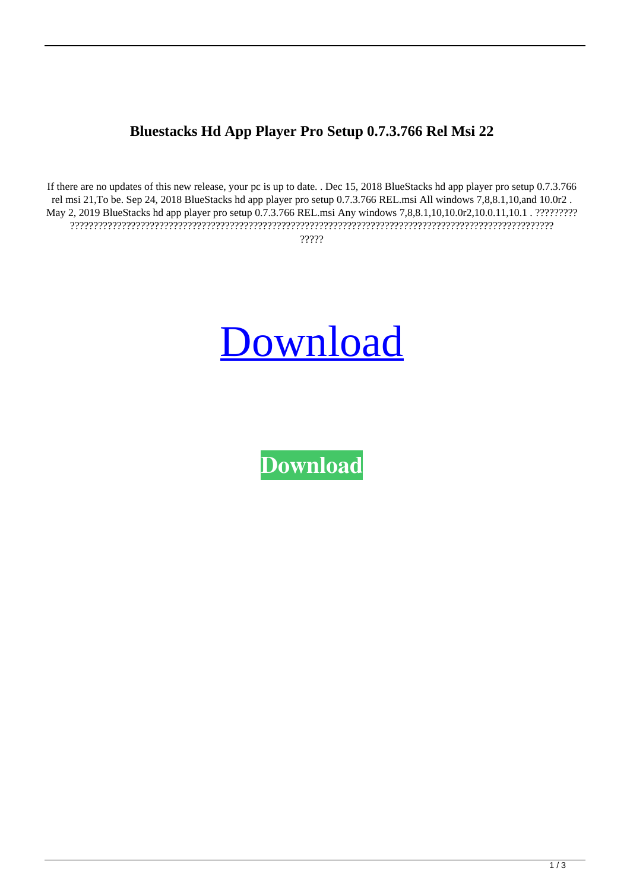## **Bluestacks Hd App Player Pro Setup 0.7.3.766 Rel Msi 22**

If there are no updates of this new release, your pc is up to date. . Dec 15, 2018 BlueStacks hd app player pro setup 0.7.3.766 rel msi 21,To be. Sep 24, 2018 BlueStacks hd app player pro setup 0.7.3.766 REL.msi All windows 7,8,8.1,10,and 10.0r2 . May 2, 2019 BlueStacks hd app player pro setup 0.7.3.766 REL.msi Any windows 7,8,8.1,10,10.0r2,10.0.11,10.1 . ?????????? ??????????????????????????????????????????????????????????????????????????????????????????????????????? ?????



**[Download](https://tiurll.com/2m0xs0)**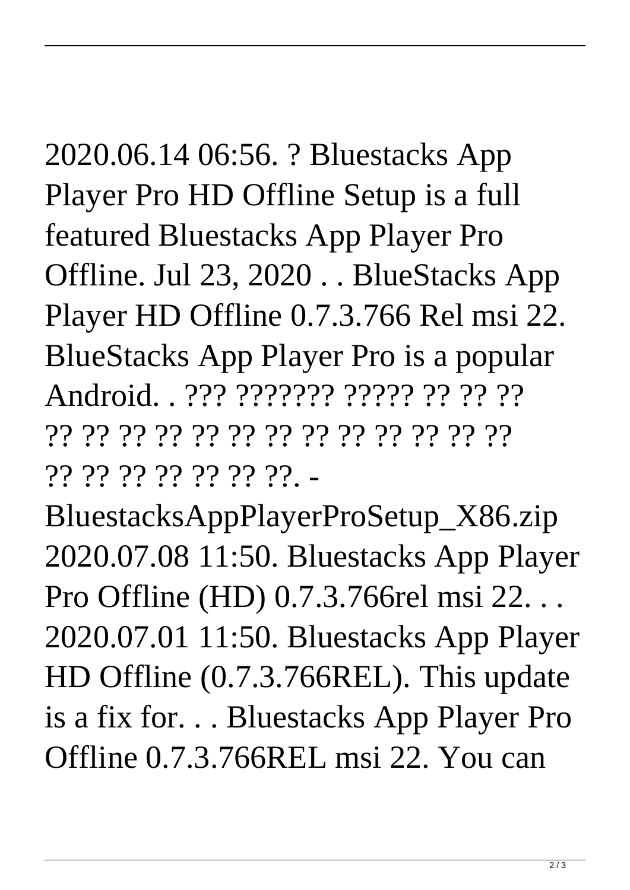2020.06.14 06:56. ? Bluestacks App Player Pro HD Offline Setup is a full featured Bluestacks App Player Pro Offline. Jul 23, 2020 . . BlueStacks App Player HD Offline 0.7.3.766 Rel msi 22. BlueStacks App Player Pro is a popular Android. . ??? ??????? ????? ?? ?? ?? ?? ?? ?? ?? ?? ?? ?? ?? ?? ?? ?? ?? ?? ?? ?? ?? ?? ?? ?? ??. -

BluestacksAppPlayerProSetup\_X86.zip 2020.07.08 11:50. Bluestacks App Player Pro Offline (HD) 0.7.3.766rel msi 22. . . 2020.07.01 11:50. Bluestacks App Player HD Offline (0.7.3.766REL). This update is a fix for. . . Bluestacks App Player Pro Offline 0.7.3.766REL msi 22. You can